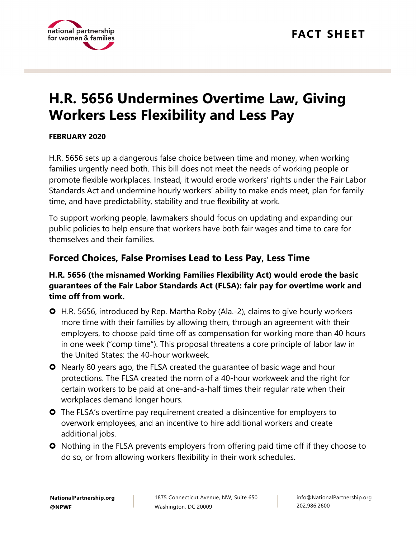

# **H.R. 5656 Undermines Overtime Law, Giving Workers Less Flexibility and Less Pay**

#### **FEBRUARY 2020**

H.R. 5656 sets up a dangerous false choice between time and money, when working families urgently need both. This bill does not meet the needs of working people or promote flexible workplaces. Instead, it would erode workers' rights under the Fair Labor Standards Act and undermine hourly workers' ability to make ends meet, plan for family time, and have predictability, stability and true flexibility at work.

To support working people, lawmakers should focus on updating and expanding our public policies to help ensure that workers have both fair wages and time to care for themselves and their families.

## **Forced Choices, False Promises Lead to Less Pay, Less Time**

## **H.R. 5656 (the misnamed Working Families Flexibility Act) would erode the basic guarantees of the Fair Labor Standards Act (FLSA): fair pay for overtime work and time off from work.**

- H.R. 5656, introduced by Rep. Martha Roby (Ala.-2), claims to give hourly workers more time with their families by allowing them, through an agreement with their employers, to choose paid time off as compensation for working more than 40 hours in one week ("comp time"). This proposal threatens a core principle of labor law in the United States: the 40-hour workweek.
- **O** Nearly 80 years ago, the FLSA created the quarantee of basic wage and hour protections. The FLSA created the norm of a 40-hour workweek and the right for certain workers to be paid at one-and-a-half times their regular rate when their workplaces demand longer hours.
- **O** The FLSA's overtime pay requirement created a disincentive for employers to overwork employees, and an incentive to hire additional workers and create additional jobs.
- **O** Nothing in the FLSA prevents employers from offering paid time off if they choose to do so, or from allowing workers flexibility in their work schedules.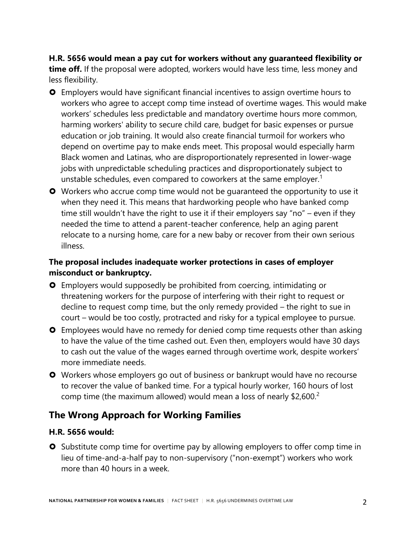**H.R. 5656 would mean a pay cut for workers without any guaranteed flexibility or time off.** If the proposal were adopted, workers would have less time, less money and less flexibility.

- **O** Employers would have significant financial incentives to assign overtime hours to workers who agree to accept comp time instead of overtime wages. This would make workers' schedules less predictable and mandatory overtime hours more common, harming workers' ability to secure child care, budget for basic expenses or pursue education or job training. It would also create financial turmoil for workers who depend on overtime pay to make ends meet. This proposal would especially harm Black women and Latinas, who are disproportionately represented in lower-wage jobs with unpredictable scheduling practices and disproportionately subject to unstable schedules, even compared to coworkers at the same employer.<sup>1</sup>
- **O** Workers who accrue comp time would not be quaranteed the opportunity to use it when they need it. This means that hardworking people who have banked comp time still wouldn't have the right to use it if their employers say "no" – even if they needed the time to attend a parent-teacher conference, help an aging parent relocate to a nursing home, care for a new baby or recover from their own serious illness.

## **The proposal includes inadequate worker protections in cases of employer misconduct or bankruptcy.**

- Employers would supposedly be prohibited from coercing, intimidating or threatening workers for the purpose of interfering with their right to request or decline to request comp time, but the only remedy provided – the right to sue in court – would be too costly, protracted and risky for a typical employee to pursue.
- **O** Employees would have no remedy for denied comp time requests other than asking to have the value of the time cashed out. Even then, employers would have 30 days to cash out the value of the wages earned through overtime work, despite workers' more immediate needs.
- **O** Workers whose employers go out of business or bankrupt would have no recourse to recover the value of banked time. For a typical hourly worker, 160 hours of lost comp time (the maximum allowed) would mean a loss of nearly \$2,600. $2$

# **The Wrong Approach for Working Families**

#### **H.R. 5656 would:**

**O** Substitute comp time for overtime pay by allowing employers to offer comp time in lieu of time-and-a-half pay to non-supervisory ("non-exempt") workers who work more than 40 hours in a week.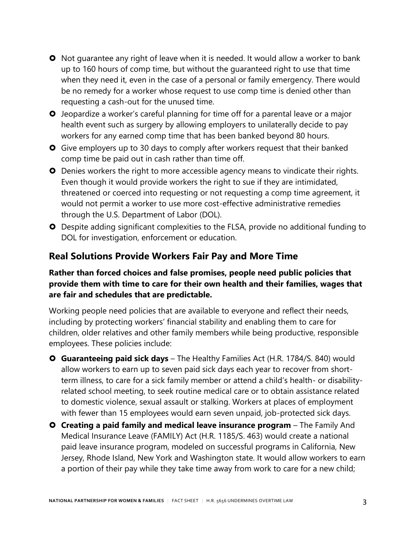- **O** Not guarantee any right of leave when it is needed. It would allow a worker to bank up to 160 hours of comp time, but without the guaranteed right to use that time when they need it, even in the case of a personal or family emergency. There would be no remedy for a worker whose request to use comp time is denied other than requesting a cash-out for the unused time.
- Jeopardize a worker's careful planning for time off for a parental leave or a major health event such as surgery by allowing employers to unilaterally decide to pay workers for any earned comp time that has been banked beyond 80 hours.
- Give employers up to 30 days to comply after workers request that their banked comp time be paid out in cash rather than time off.
- **O** Denies workers the right to more accessible agency means to vindicate their rights. Even though it would provide workers the right to sue if they are intimidated, threatened or coerced into requesting or not requesting a comp time agreement, it would not permit a worker to use more cost-effective administrative remedies through the U.S. Department of Labor (DOL).
- **O** Despite adding significant complexities to the FLSA, provide no additional funding to DOL for investigation, enforcement or education.

## **Real Solutions Provide Workers Fair Pay and More Time**

#### **Rather than forced choices and false promises, people need public policies that provide them with time to care for their own health and their families, wages that are fair and schedules that are predictable.**

Working people need policies that are available to everyone and reflect their needs, including by protecting workers' financial stability and enabling them to care for children, older relatives and other family members while being productive, responsible employees. These policies include:

- **Guaranteeing paid sick days** The Healthy Families Act (H.R. 1784/S. 840) would allow workers to earn up to seven paid sick days each year to recover from shortterm illness, to care for a sick family member or attend a child's health- or disabilityrelated school meeting, to seek routine medical care or to obtain assistance related to domestic violence, sexual assault or stalking. Workers at places of employment with fewer than 15 employees would earn seven unpaid, job-protected sick days.
- **Creating a paid family and medical leave insurance program** The Family And Medical Insurance Leave (FAMILY) Act (H.R. 1185/S. 463) would create a national paid leave insurance program, modeled on successful programs in California, New Jersey, Rhode Island, New York and Washington state. It would allow workers to earn a portion of their pay while they take time away from work to care for a new child;